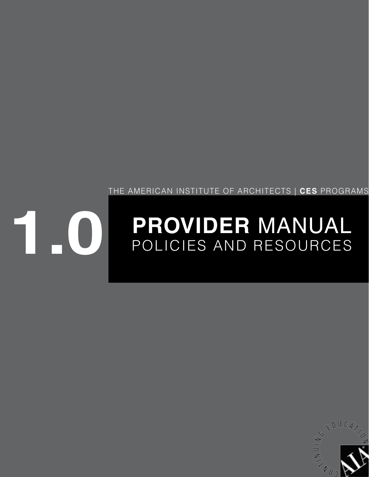

# **PROVIDER** MANUAL POLICIES AND RESOURCES **1.0**

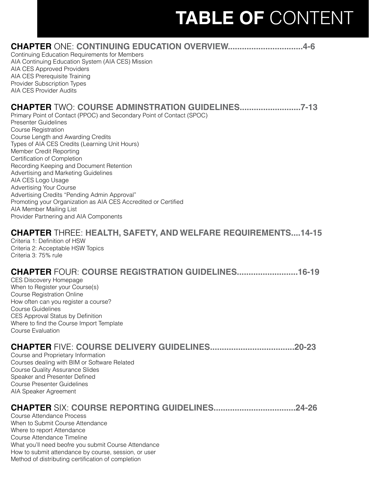# **TABLE OF** CONTENT

| <b>CHAPTER ONE: CONTINUING EDUCATION OVERVIEW</b><br>4-6<br>Continuing Education Requirements for Members<br>AIA Continuing Education System (AIA CES) Mission<br>AIA CES Approved Providers<br>AIA CES Prerequisite Training<br>Provider Subscription Types<br><b>AIA CES Provider Audits</b>                                                                                                                                                                                                                                                                                                                                                                                              |
|---------------------------------------------------------------------------------------------------------------------------------------------------------------------------------------------------------------------------------------------------------------------------------------------------------------------------------------------------------------------------------------------------------------------------------------------------------------------------------------------------------------------------------------------------------------------------------------------------------------------------------------------------------------------------------------------|
| <b>CHAPTER TWO: COURSE ADMINSTRATION GUIDELINES</b><br>$.7 - 13$<br>Primary Point of Contact (PPOC) and Secondary Point of Contact (SPOC)<br><b>Presenter Guidelines</b><br><b>Course Registration</b><br>Course Length and Awarding Credits<br>Types of AIA CES Credits (Learning Unit Hours)<br>Member Credit Reporting<br>Certification of Completion<br>Recording Keeping and Document Retention<br>Advertising and Marketing Guidelines<br>AIA CES Logo Usage<br><b>Advertising Your Course</b><br>Advertising Credits "Pending Admin Approval"<br>Promoting your Organization as AIA CES Accredited or Certified<br>AIA Member Mailing List<br>Provider Partnering and AIA Components |
| <b>CHAPTER</b> THREE: HEALTH, SAFETY, AND WELFARE REQUIREMENTS14-15<br>Criteria 1: Definition of HSW<br>Criteria 2: Acceptable HSW Topics<br>Criteria 3: 75% rule                                                                                                                                                                                                                                                                                                                                                                                                                                                                                                                           |
| <b>CHAPTER FOUR: COURSE REGISTRATION GUIDELINES</b><br>$.16 - 19$<br><b>CES Discovery Homepage</b><br>When to Register your Course(s)<br><b>Course Registration Online</b><br>How often can you register a course?<br>Course Guidelines<br>CES Approval Status by Definition<br>Where to find the Course Import Template<br><b>Course Evaluation</b>                                                                                                                                                                                                                                                                                                                                        |
| $.20 - 23$<br>Course and Proprietary Information<br>Courses dealing with BIM or Software Related<br><b>Course Quality Assurance Slides</b><br>Speaker and Presenter Defined<br><b>Course Presenter Guidelines</b><br>AIA Speaker Agreement                                                                                                                                                                                                                                                                                                                                                                                                                                                  |
| <b>CHAPTER SIX: COURSE REPORTING GUIDELINES</b><br>$.24 - 26$<br><b>Course Attendance Process</b><br>When to Submit Course Attendance<br>Where to report Attendance<br>Course Attendance Timeline<br>What you'll need beofre you submit Course Attendance<br>How to submit attendance by course, session, or user                                                                                                                                                                                                                                                                                                                                                                           |

Method of distributing certification of completion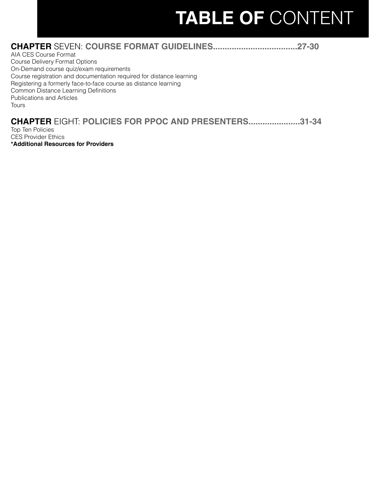# **TABLE OF** CONTENT

### **CHAPTER** SEVEN: **[COURSE FORMAT GUIDELINES....................................27-30](#page-26-0)**

AIA CES Course Format Course Delivery Format Options On-Demand course quiz/exam requirements Course registration and documentation required for distance learning Registering a formerly face-to-face course as distance learning Common Distance Learning Definitions Publications and Articles **Tours** 

### **CHAPTER** EIGHT: **[POLICIES FOR PPOC AND PRESENTERS......................31-34](#page-30-0)**

Top Ten Policies CES Provider Ethics **\*Additional Resources for Providers**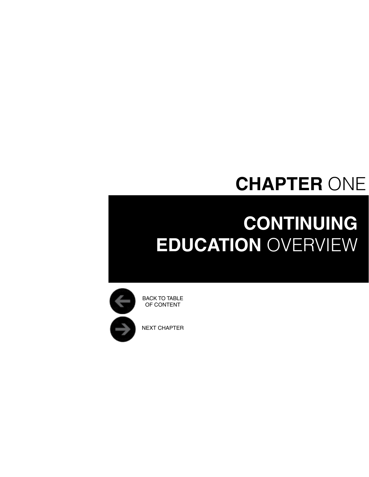## **CHAPTER** ONE

# <span id="page-3-0"></span>**Continuing EDUCATION OVERVIEW**



NEXT CHAPTER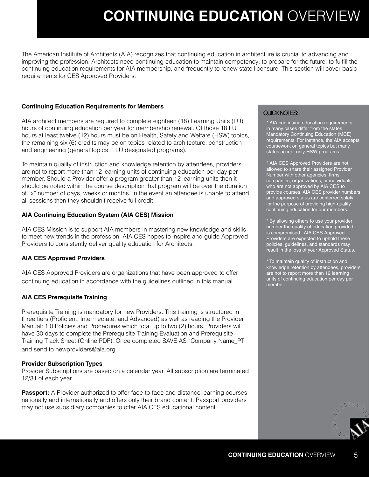## **Continuing Education** Overview

The American Institute of Architects (AIA) recognizes that continuing education in architecture is crucial to advancing and improving the profession. Architects need continuing education to maintain competency, to prepare for the future, to fulfill the continuing education requirements for AIA membership, and frequently to renew state licensure. This section will cover basic requirements for CES Approved Providers.

#### **Continuing Education Requirements for Members**

AIA architect members are required to complete eighteen (18) Learning Units (LU) hours of continuing education per year for membership renewal. Of those 18 LU hours at least twelve (12) hours must be on Health, Safety and Welfare (HSW) topics, the remaining six (6) credits may be on topics related to architecture, construction and engineering (general topics = LU designated programs).

To maintain quality of instruction and knowledge retention by attendees, providers are not to report more than 12 learning units of continuing education per day per member. Should a Provider offer a program greater than 12 learning units then it should be noted within the course description that program will be over the duration of "x" number of days, weeks or months. In the event an attendee is unable to attend all sessions then they shouldn't receive full credit.

#### **AIA Continuing Education System (AIA CES) Mission**

AIA CES Mission is to support AIA members in mastering new knowledge and skills to meet new trends in the profession. AIA CES hopes to inspire and guide Approved Providers to consistently deliver quality education for Architects.

#### **AIA CES Approved Providers**

AIA CES Approved Providers are organizations that have been approved to offer continuing education in accordance with the guidelines outlined in this manual.

#### **AIA CES Prerequisite Training**

Prerequisite Training is mandatory for new Providers. This training is structured in three tiers (Proficient, Intermediate, and Advanced) as well as reading the Provider Manual: 1.0 Policies and Procedures which total up to two (2) hours. Providers will have 30 days to complete the Prerequisite Training Evaluation and Prerequisite Training Track Sheet (Online PDF). Once completed SAVE AS "Company Name\_PT" and send to newproviders@aia.org.

#### **Provider Subscription Types**

Provider Subscriptions are based on a calendar year. All subscription are terminated 12/31 of each year.

**Passport:** A Provider authorized to offer face-to-face and distance learning courses nationally and internationally and offers only their brand content. Passport providers may not use subsidiary companies to offer AIA CES educational content.

### QUICK NOTES:

\* AIA continuing education requirements in many cases differ from the states Mandatory Continuing Education (MCE) requirements. For instance, the AIA accepts coursework on general topics but many states accept only HSW programs.

\* AIA CES Approved Providers are not allowed to share their assigned Provider Number with other agencies, firms, companies, organizations, or individuals who are not approved by AIA CES to provide courses. AIA CES provider numbers and approved status are conferred solely for the purpose of providing high-quality continuing education for our members.

\* By allowing others to use your provider number the quality of education provided is compromised. AIA CES Approved Providers are expected to uphold these policies, guidelines, and standards may result in the loss of your Approved Status.

\* To maintain quality of instruction and knowledge retention by attendees, providers are not to report more than 12 learning units of continuing education per day per member.

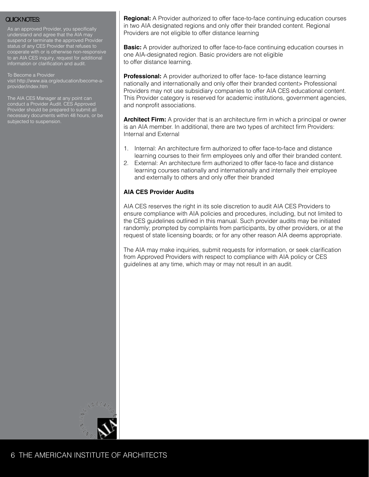As an approved Provider, you specifically understand and agree that the AIA may suspend or terminate the approved Provider status of any CES Provider that refuses to cooperate with or is otherwise non-responsive to an AIA CES inquiry, request for additional information or clarification and audit.

To Become a Provider visit [http://www.aia.org/education/become-a-](http://www.aia.org/education/become-a-provider/index.htm)

The AIA CES Manager at any point can conduct a Provider Audit. CES Approved Provider should be prepared to submit all necessary documents within 48 hours, or be subjected to suspension.

QUICK NOTES: **Regional:** A Provider authorized to offer face-to-face continuing education courses in two AIA designated regions and only offer their branded content. Regional Providers are not eligible to offer distance learning

> **Basic:** A provider authorized to offer face-to-face continuing education courses in one AIA-designated region. Basic providers are not eligible to offer distance learning.

**Professional:** A provider authorized to offer face-to-face distance learning nationally and internationally and only offer their branded content> Professional Providers may not use subsidiary companies to offer AIA CES educational content. This Provider category is reserved for academic institutions, government agencies, and nonprofit associations.

**Architect Firm:** A provider that is an architecture firm in which a principal or owner is an AIA member. In additional, there are two types of architect firm Providers: Internal and External

- 1. Internal: An architecture firm authorized to offer face-to-face and distance learning courses to their firm employees only and offer their branded content.
- 2. External: An architecture firm authorized to offer face-to face and distance learning courses nationally and internationally and internally their employee and externally to others and only offer their branded

### **AIA CES Provider Audits**

AIA CES reserves the right in its sole discretion to audit AIA CES Providers to ensure compliance with AIA policies and procedures, including, but not limited to the CES guidelines outlined in this manual. Such provider audits may be initiated randomly; prompted by complaints from participants, by other providers, or at the request of state licensing boards; or for any other reason AIA deems appropriate.

The AIA may make inquiries, submit requests for information, or seek clarification from Approved Providers with respect to compliance with AIA policy or CES guidelines at any time, which may or may not result in an audit.

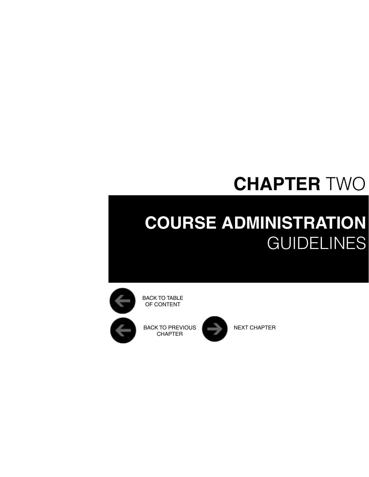## **CHAPTER** TWO

## <span id="page-6-0"></span>**Course Administration GUIDELINES**



BACK TO TABLE OF CONTENT

BACK TO PREVIOUS NEXT CHAPTER CHAPTER

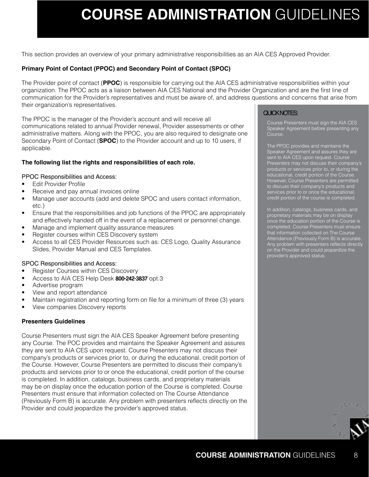## **Course Administration** Guidelines

This section provides an overview of your primary administrative responsibilities as an AIA CES Approved Provider.

#### **Primary Point of Contact (PPOC) and Secondary Point of Contact (SPOC)**

The Provider point of contact (**PPOC**) is responsible for carrying out the AIA CES administrative responsibilities within your organization. The PPOC acts as a liaison between AIA CES National and the Provider Organization and are the first line of communication for the Provider's representatives and must be aware of, and address questions and concerns that arise from their organization's representatives.

The PPOC is the manager of the Provider's account and will receive all communications related to annual Provider renewal, Provider assessments or other administrative matters. Along with the PPOC, you are also required to designate one Secondary Point of Contact (**SPOC**) to the Provider account and up to 10 users, if applicable.

#### **The following list the rights and responsibilities of each role.**

#### PPOC Responsibilities and Access:

- Edit Provider Profile
- Receive and pay annual invoices online
- Manage user accounts (add and delete SPOC and users contact information, etc.)
- Ensure that the responsibilities and job functions of the PPOC are appropriately and effectively handed off in the event of a replacement or personnel change.
- Manage and implement quality assurance measures
- Register courses within CES Discovery system
- Access to all CES Provider Resources such as: CES Logo, Quality Assurance Slides, Provider Manual and CES Templates.

#### SPOC Responsibilities and Access:

- Register Courses within CES Discovery
- Access to AIA CES Help Desk 800-242-3837 opt.3
- Advertise program
- View and report attendance
- Maintain registration and reporting form on file for a minimum of three (3) years
- View companies Discovery reports

#### **Presenters Guidelines**

Course Presenters must sign the AIA CES Speaker Agreement before presenting any Course. The POC provides and maintains the Speaker Agreement and assures they are sent to AIA CES upon request. Course Presenters may not discuss their company's products or services prior to, or during the educational, credit portion of the Course. However, Course Presenters are permitted to discuss their company's products and services prior to or once the educational, credit portion of the course is completed. In addition, catalogs, business cards, and proprietary materials may be on display once the education portion of the Course is completed. Course Presenters must ensure that information collected on The Course Attendance (Previously Form B) is accurate. Any problem with presenters reflects directly on the Provider and could jeopardize the provider's approved status.

### QUICK NOTES:

Course Presenters must sign the AIA CES Speaker Agreement before presenting any Course.

The PPOC provides and maintains the Speaker Agreement and assures they are sent to AIA CES upon request. Course Presenters may not discuss their company's products or services prior to, or during the educational, credit portion of the Course. However, Course Presenters are permitted to discuss their company's products and services prior to or once the educational, credit portion of the course is completed.

In addition, catalogs, business cards, and proprietary materials may be on display once the education portion of the Course is completed. Course Presenters must ensure Attendance (Previously Form B) is accurate. Any problem with presenters reflects directly on the Provider and could jeopardize the provider's approved status.

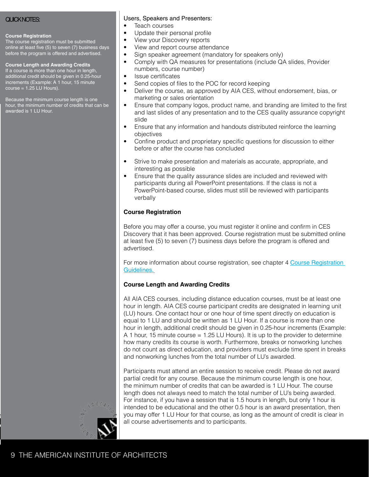#### **Course Registration**

The course registration must be submitted online at least five (5) to seven (7) business days before the program is offered and advertised.

#### **Course Length and Awarding Credits**

If a course is more than one hour in length, additional credit should be given in 0.25-hour increments (Example: A 1 hour, 15 minute course = 1.25 LU Hours).

Because the minimum course length is one hour, the minimum number of credits that can be awarded is 1 LU Hour.

#### QUICK NOTES: Users, Speakers and Presenters:

- Teach courses
- Update their personal profile
- View your Discovery reports
- View and report course attendance
- Sign speaker agreement (mandatory for speakers only)
- Comply with QA measures for presentations (include QA slides, Provider numbers, course number)
- Issue certificates
- Send copies of files to the POC for record keeping
- Deliver the course, as approved by AIA CES, without endorsement, bias, or marketing or sales orientation
- Ensure that company logos, product name, and branding are limited to the first and last slides of any presentation and to the CES quality assurance copyright slide
- Ensure that any information and handouts distributed reinforce the learning objectives
- Confine product and proprietary specific questions for discussion to either before or after the course has concluded
- Strive to make presentation and materials as accurate, appropriate, and interesting as possible
- Ensure that the quality assurance slides are included and reviewed with participants during all PowerPoint presentations. If the class is not a PowerPoint-based course, slides must still be reviewed with participants verbally

#### **Course Registration**

Before you may offer a course, you must register it online and confirm in CES Discovery that it has been approved. Course registration must be submitted online at least five (5) to seven (7) business days before the program is offered and advertised.

For more information about course registration, see chapter 4 [Course Registration](#page-20-0)  [Guidelines.](#page-20-0) 

#### **Course Length and Awarding Credits**

All AIA CES courses, including distance education courses, must be at least one hour in length. AIA CES course participant credits are designated in learning unit (LU) hours. One contact hour or one hour of time spent directly on education is equal to 1 LU and should be written as 1 LU Hour. If a course is more than one hour in length, additional credit should be given in 0.25-hour increments (Example: A 1 hour, 15 minute course = 1.25 LU Hours). It is up to the provider to determine how many credits its course is worth. Furthermore, breaks or nonworking lunches do not count as direct education, and providers must exclude time spent in breaks and nonworking lunches from the total number of LU's awarded.

Participants must attend an entire session to receive credit. Please do not award partial credit for any course. Because the minimum course length is one hour, the minimum number of credits that can be awarded is 1 LU Hour. The course length does not always need to match the total number of LU's being awarded. For instance, if you have a session that is 1.5 hours in length, but only 1 hour is intended to be educational and the other 0.5 hour is an award presentation, then you may offer 1 LU Hour for that course, as long as the amount of credit is clear in all course advertisements and to participants.

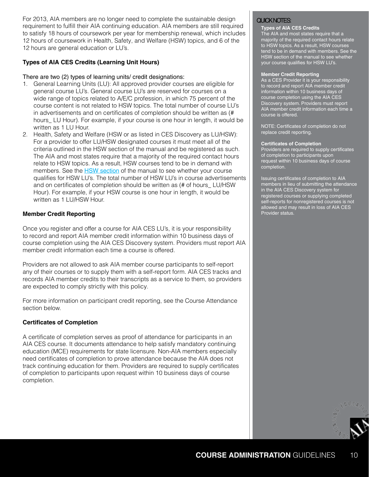For 2013, AIA members are no longer need to complete the sustainable design  $\Box$  QUICK NOTES: requirement to fulfill their AIA continuing education. AIA members are still required to satisfy 18 hours of coursework per year for membership renewal, which includes 12 hours of coursework in Health, Safety, and Welfare (HSW) topics, and 6 of the 12 hours are general education or LU's.

#### **Types of AIA CES Credits (Learning Unit Hours)**

#### There are two (2) types of learning units/ credit designations:

- 1. General Learning Units (LU): All approved provider courses are eligible for general course LU's. General course LU's are reserved for courses on a wide range of topics related to A/E/C profession, in which 75 percent of the course content is not related to HSW topics. The total number of course LU's in advertisements and on certificates of completion should be written as (# hours\_ LU Hour). For example, if your course is one hour in length, it would be written as 1 LU Hour.
- 2. Health, Safety and Welfare (HSW or as listed in CES Discovery as LU/HSW): For a provider to offer LU/HSW designated courses it must meet all of the criteria outlined in the HSW section of the manual and be registered as such. The AIA and most states require that a majority of the required contact hours relate to HSW topics. As a result, HSW courses tend to be in demand with members. See the **[HSW section](#page-16-0)** of the manual to see whether your course qualifies for HSW LU's. The total number of HSW LU's in course advertisements and on certificates of completion should be written as (# of hours\_ LU/HSW Hour). For example, if your HSW course is one hour in length, it would be written as 1 LU/HSW Hour.

#### **Member Credit Reporting**

Once you register and offer a course for AIA CES LU's, it is your responsibility to record and report AIA member credit information within 10 business days of course completion using the AIA CES Discovery system. Providers must report AIA member credit information each time a course is offered.

Providers are not allowed to ask AIA member course participants to self-report any of their courses or to supply them with a self-report form. AIA CES tracks and records AIA member credits to their transcripts as a service to them, so providers are expected to comply strictly with this policy.

For more information on participant credit reporting, see the Course Attendance section below.

#### **Certificates of Completion**

A certificate of completion serves as proof of attendance for participants in an AIA CES course. It documents attendance to help satisfy mandatory continuing education (MCE) requirements for state licensure. Non-AIA members especially need certificates of completion to prove attendance because the AIA does not track continuing education for them. Providers are required to supply certificates of completion to participants upon request within 10 business days of course completion.

#### **Types of AIA CES Credits**

The AIA and most states require that a majority of the required contact hours relate to HSW topics. As a result, HSW courses tend to be in demand with members. See the HSW section of the manual to see whether your course qualifies for HSW LU's.

#### **Member Credit Reporting**

As a CES Provider it is your responsibility to record and report AIA member credit information within 10 business days of course completion using the AIA CES Discovery system. Providers must report AIA member credit information each time a course is offered.

NOTE: Certificates of completion do not replace credit reporting.

#### **Certificates of Completion**

Providers are required to supply certificates of completion to participants upon request within 10 business days of course completion.

Issuing certificates of completion to AIA members in lieu of submitting the attendance in the AIA CES Discovery system for registered courses or supplying completed self-reports for nonregistered courses is not allowed and may result in loss of AIA CES Provider status.

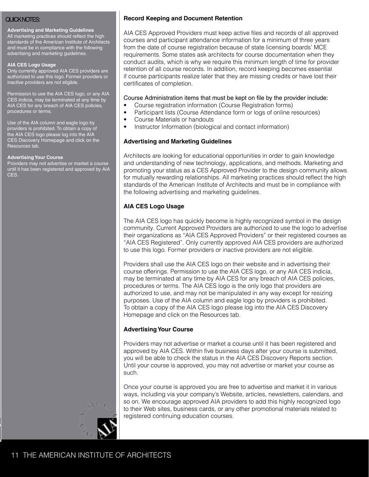#### **Advertising and Marketing Guidelines**

All marketing practices should reflect the high standards of the American Institute of Architects and must be in compliance with the following advertising and marketing guidelines.

#### **AIA CES Logo Usage**

Only currently approved AIA CES providers are authorized to use this logo. Former providers or inactive providers are not eligible.

Permission to use the AIA CES logo, or any AIA CES indicia, may be terminated at any time by AIA CES for any breach of AIA CES policies, procedures or terms.

Use of the AIA column and eagle logo by providers is prohibited. To obtain a copy of the AIA CES logo please log into the AIA CES Discovery Homepage and click on the Resources tab.

#### **Advertising Your Course**

Providers may not advertise or market a course until it has been registered and approved by AIA CES.

### QUICK NOTES: **Record Keeping and Document Retention**

AIA CES Approved Providers must keep active files and records of all approved courses and participant attendance information for a minimum of three years from the date of course registration because of state licensing boards' MCE requirements. Some states ask architects for course documentation when they conduct audits, which is why we require this minimum length of time for provider retention of all course records. In addition, record keeping becomes essential if course participants realize later that they are missing credits or have lost their certificates of completion.

#### Course Administration items that must be kept on file by the provider include:

- Course registration information (Course Registration forms)
- Participant lists (Course Attendance form or logs of online resources)
- Course Materials or handouts
- Instructor Information (biological and contact information)

#### **Advertising and Marketing Guidelines**

Architects are looking for educational opportunities in order to gain knowledge and understanding of new technology, applications, and methods. Marketing and promoting your status as a CES Approved Provider to the design community allows for mutually rewarding relationships. All marketing practices should reflect the high standards of the American Institute of Architects and must be in compliance with the following advertising and marketing guidelines.

### **AIA CES Logo Usage**

The AIA CES logo has quickly become is highly recognized symbol in the design community. Current Approved Providers are authorized to use the logo to advertise their organizations as "AIA CES Approved Providers" or their registered courses as "AIA CES Registered". Only currently approved AIA CES providers are authorized to use this logo. Former providers or inactive providers are not eligible.

Providers shall use the AIA CES logo on their website and in advertising their course offerings. Permission to use the AIA CES logo, or any AIA CES indicia, may be terminated at any time by AIA CES for any breach of AIA CES policies, procedures or terms. The AIA CES logo is the only logo that providers are authorized to use, and may not be manipulated in any way except for resizing purposes. Use of the AIA column and eagle logo by providers is prohibited. To obtain a copy of the AIA CES logo please log into the AIA CES Discovery Homepage and click on the Resources tab.

### **Advertising Your Course**

Providers may not advertise or market a course until it has been registered and approved by AIA CES. Within five business days after your course is submitted, you will be able to check the status in the AIA CES Discovery Reports section. Until your course is approved, you may not advertise or market your course as such.

Once your course is approved you are free to advertise and market it in various ways, including via your company's Website, articles, newsletters, calendars, and so on. We encourage approved AIA providers to add this highly recognized logo to their Web sites, business cards, or any other promotional materials related to registered continuing education courses.

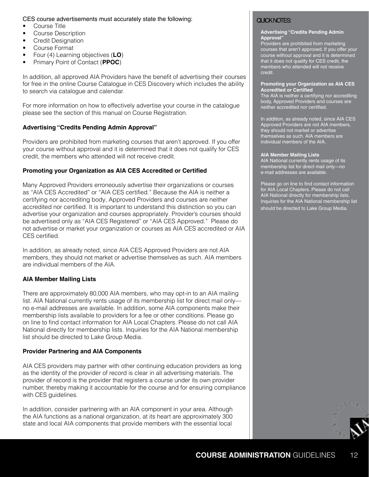### CES course advertisements must accurately state the following:<br>• Course Title Course Title

- 
- Course Description
- Credit Designation
- Course Format
- Four (4) Learning objectives (**LO**)
- Primary Point of Contact (**PPOC**)

In addition, all approved AIA Providers have the benefit of advertising their courses for free in the online Course Catalogue in CES Discovery which includes the ability to search via catalogue and calendar.

For more information on how to effectively advertise your course in the catalogue please see the section of this manual on Course Registration.

#### **Advertising "Credits Pending Admin Approval"**

Providers are prohibited from marketing courses that aren't approved. If you offer your course without approval and it is determined that it does not qualify for CES credit, the members who attended will not receive credit.

#### **Promoting your Organization as AIA CES Accredited or Certified**

Many Approved Providers erroneously advertise their organizations or courses as "AIA CES Accredited" or "AIA CES certified." Because the AIA is neither a certifying nor accrediting body, Approved Providers and courses are neither accredited nor certified. It is important to understand this distinction so you can advertise your organization and courses appropriately. Provider's courses should be advertised only as "AIA CES Registered" or "AIA CES Approved." Please do not advertise or market your organization or courses as AIA CES accredited or AIA CES certified.

In addition, as already noted, since AIA CES Approved Providers are not AIA members, they should not market or advertise themselves as such. AIA members are individual members of the AIA.

#### **AIA Member Mailing Lists**

There are approximately 80,000 AIA members, who may opt-in to an AIA mailing list. AIA National currently rents usage of its membership list for direct mail only no e-mail addresses are available. In addition, some AIA components make their membership lists available to providers for a fee or other conditions. Please go on line to find contact information for AIA Local Chapters. Please do not call AIA National directly for membership lists. Inquiries for the AIA National membership list should be directed to Lake Group Media.

#### **Provider Partnering and AIA Components**

AIA CES providers may partner with other continuing education providers as long as the identity of the provider of record is clear in all advertising materials. The provider of record is the provider that registers a course under its own provider number, thereby making it accountable for the course and for ensuring compliance with CES guidelines.

In addition, consider partnering with an AIA component in your area. Although the AIA functions as a national organization, at its heart are approximately 300 state and local AIA components that provide members with the essential local

#### **Advertising "Credits Pending Admin**  Approval

Providers are prohibited from marketing courses that aren't approved. If you offer your course without approval and it is determined that it does not qualify for CES credit, the members who attended will not receive credit.

#### **Promoting your Organization as AIA CES Accredited or Certified**

The AIA is neither a certifying nor accrediting body, Approved Providers and courses are neither accredited nor certified.

In addition, as already noted, since AIA CES Approved Providers are not AIA members, they should not market or advertise themselves as such. AIA members are individual members of the AIA.

#### **AIA Member Mailing Lists**

AIA National currently rents usage of its membership list for direct mail only—no e-mail addresses are available.

Please go on line to find contact information for AIA Local Chapters. Please do not call AIA National directly for membership lists. Inquiries for the AIA National membership list should be directed to Lake Group Media.

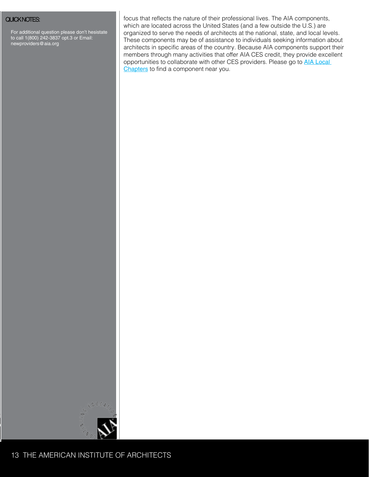For additional question please don't hesistate to call 1(800) 242-3837 opt.3 or Email: newproviders@aia.org

QUICK NOTES: **Focus** in the flects that reflects the nature of their professional lives. The AIA components, which are located across the United States (and a few outside the U.S.) are organized to serve the needs of architects at the national, state, and local levels. These components may be of assistance to individuals seeking information about architects in specific areas of the country. Because AIA components support their members through many activities that offer AIA CES credit, they provide excellent opportunities to collaborate with other CES providers. Please go to **AIA Local** [Chapters](http://www.aia.org/about/structure/components/AIAS078541) to find a component near you.

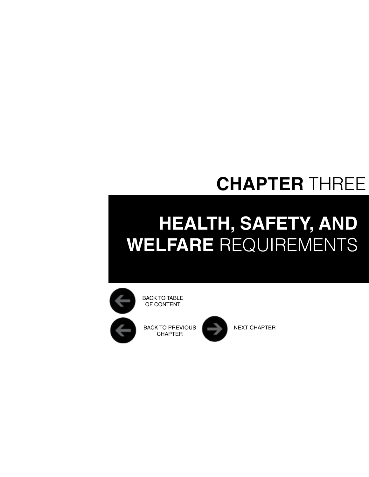## **CHAPTER** THREE

# <span id="page-13-0"></span>**HEALTH, SAFETY, AND WELFARE** Requirements



BACK TO TABLE OF CONTENT

BACK TO PREVIOUS **NEXT CHAPTER CHAPTER** 

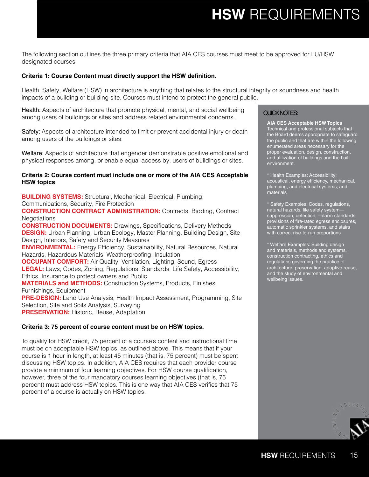### **HSW** Requirements

The following section outlines the three primary criteria that AIA CES courses must meet to be approved for LU/HSW designated courses.

#### **Criteria 1: Course Content must directly support the HSW definition.**

Health, Safety, Welfare (HSW) in architecture is anything that relates to the structural integrity or soundness and health impacts of a building or building site. Courses must intend to protect the general public.

Health: Aspects of architecture that promote physical, mental, and social wellbeing among users of buildings or sites and address related environmental concerns.

Safety: Aspects of architecture intended to limit or prevent accidental injury or death among users of the buildings or sites.

Welfare: Aspects of architecture that engender demonstrable positive emotional and physical responses among, or enable equal access by, users of buildings or sites.

#### **Criteria 2: Course content must include one or more of the AIA CES Acceptable HSW topics**

**BUILDING SYSTEMS:** Structural, Mechanical, Electrical, Plumbing, Communications, Security, Fire Protection **CONSTRUCTION CONTRACT ADMINISTRATION:** Contracts, Bidding, Contract Negotiations **CONSTRUCTION DOCUMENTS:** Drawings, Specifications, Delivery Methods **DESIGN:** Urban Planning, Urban Ecology, Master Planning, Building Design, Site Design, Interiors, Safety and Security Measures **ENVIRONMENTAL:** Energy Efficiency, Sustainability, Natural Resources, Natural Hazards, Hazardous Materials, Weatherproofing, Insulation **OCCUPANT COMFORT:** Air Quality, Ventilation, Lighting, Sound, Egress **LEGAL:** Laws, Codes, Zoning, Regulations, Standards, Life Safety, Accessibility, Ethics, Insurance to protect owners and Public **MATERIALS and METHODS:** Construction Systems, Products, Finishes, Furnishings, Equipment **PRE-DESIGN:** Land Use Analysis, Health Impact Assessment, Programming, Site Selection, Site and Soils Analysis, Surveying

**PRESERVATION:** Historic, Reuse, Adaptation

#### **Criteria 3: 75 percent of course content must be on HSW topics.**

To qualify for HSW credit, 75 percent of a course's content and instructional time must be on acceptable HSW topics, as outlined above. This means that if your course is 1 hour in length, at least 45 minutes (that is, 75 percent) must be spent discussing HSW topics. In addition, AIA CES requires that each provider course provide a minimum of four learning objectives. For HSW course qualification, however, three of the four mandatory courses learning objectives (that is, 75 percent) must address HSW topics. This is one way that AIA CES verifies that 75 percent of a course is actually on HSW topics.

#### QUICK NOTES:

**AIA CES Acceptable HSW Topics** Technical and professional subjects that the Board deems appropriate to safeguard the public and that are within the following enumerated areas necessary for the proper evaluation, design, construction, and utilization of buildings and the built environment.

\* Health Examples: Accessibility; acoustical, energy efficiency, mechanical, plumbing, and electrical systems; and materials

\* Safety Examples: Codes, regulations, natural hazards, life safety system suppression, detection, –alarm standards, provisions of fire-rated egress enclosures, automatic sprinkler systems, and stairs with correct rise-to-run proportions

\* Welfare Examples: Building design and materials, methods and systems, construction contracting, ethics and regulations governing the practice of architecture, preservation, adaptive reuse, and the study of environmental and wellbeing issues.

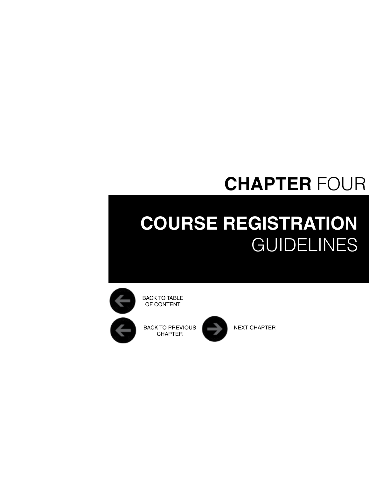## **CHAPTER** FOUR

# <span id="page-15-0"></span>**Course Registration GUIDELINES**



OF CONTENT

BACK TO PREVIOUS NEXT CHAPTER CHAPTER

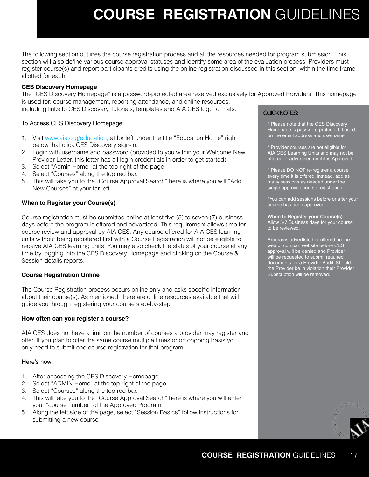## **Course Registration** Guidelines

<span id="page-16-0"></span>The following section outlines the course registration process and all the resources needed for program submission. This section will also define various course approval statuses and identify some area of the evaluation process. Providers must register course(s) and report participants credits using the online registration discussed in this section, within the time frame allotted for each.

#### **CES Discovery Homepage**

is used for: course management, reporting attendance, and online resources, including links to CES Discovery Tutorials, templates and AIA CES logo formats. The "CES Discovery Homepage" is a password-protected area reserved exclusively for Approved Providers. This homepage

To Access CES Discovery Homepage:

- 1. Visit [www.aia.org/education](http://www.aia.org/education), at for left under the title "Education Home" right below that click CES Discovery sign-in.
- 2. Login with username and password (provided to you within your Welcome New Provider Letter, this letter has all login credentials in order to get started).
- 3. Select "Admin Home" at the top right of the page
- 4. Select "Courses" along the top red bar.
- 5. This will take you to the "Course Approval Search" here is where you will "Add New Courses" at your far left.

#### **When to Register your Course(s)**

Course registration must be submitted online at least five (5) to seven (7) business days before the program is offered and advertised. This requirement allows time for course review and approval by AIA CES. Any course offered for AIA CES learning units without being registered first with a Course Registration will not be eligible to receive AIA CES learning units. You may also check the status of your course at any time by logging into the CES Discovery Homepage and clicking on the Course & Session details reports.

#### **Course Registration Online**

The Course Registration process occurs online only and asks specific information about their course(s). As mentioned, there are online resources available that will guide you through registering your course step-by-step.

#### **How often can you register a course?**

AIA CES does not have a limit on the number of courses a provider may register and offer. If you plan to offer the same course multiple times or on ongoing basis you only need to submit one course registration for that program.

#### Here's how:

- 1. After accessing the CES Discovery Homepage
- 2. Select "ADMIN Home" at the top right of the page
- 3. Select "Courses" along the top red bar.
- 4. This will take you to the "Course Approval Search" here is where you will enter your "course number" of the Approved Program.
- 5. Along the left side of the page, select "Session Basics" follow instructions for submitting a new course

### QUICK NOTES:

\* Please note that the CES Discovery Homepage is password protected, based on the email address and username.

\* Provider courses are not eligible for AIA CES Learning Units and may not be offered or advertised until it is Approved.

\* Please DO NOT re-register a course every time it is offered. Instead, add as many sessions as needed under the single approved course registration.

\*You can add sessions before or after your course has been approved.

**When to Register your Course(s)** Allow 5-7 Business days for your course to be reviewed.

Programs advertisted or offered on the web or compan website before CES approval will be denied and Provider will be requested to submit required documents for a Provider Audit. Should the Provider be in violation their Provider Subscription will be removed.

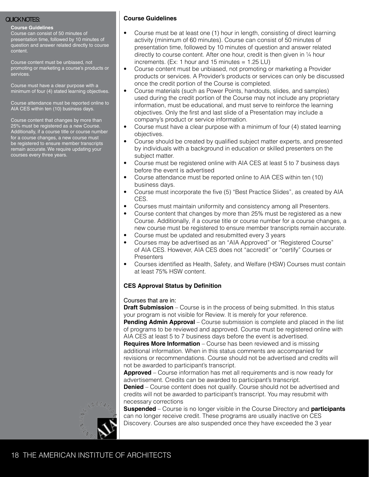#### **Course Guidelines**

Course can consist of 50 minutes of presentation time, followed by 10 minutes of question and answer related directly to course content.

Course content must be unbiased, not promoting or marketing a course's products or services.

Course must have a clear purpose with a minimum of four (4) stated learning objectives.

Course attendance must be reported online to AIA CES within ten (10) business days.

Course content that changes by more than 25% must be registered as a new Course. Additionally, if a course title or course number for a course changes, a new course must be registered to ensure member transcripts remain accurate. We require updating your courses every three years.

### QUICK NOTES: **Course Guidelines**

- Course must be at least one (1) hour in length, consisting of direct learning activity (minimum of 60 minutes). Course can consist of 50 minutes of presentation time, followed by 10 minutes of question and answer related directly to course content. After one hour, credit is then given in ¼ hour increments. (Ex: 1 hour and 15 minutes  $= 1.25$  LU)
- Course content must be unbiased, not promoting or marketing a Provider products or services. A Provider's products or services can only be discussed once the credit portion of the Course is completed.
- Course materials (such as Power Points, handouts, slides, and samples) used during the credit portion of the Course may not include any proprietary information, must be educational, and must serve to reinforce the learning objectives. Only the first and last slide of a Presentation may include a company's product or service information.
- Course must have a clear purpose with a minimum of four (4) stated learning objectives.
- Course should be created by qualified subject matter experts, and presented by individuals with a background in education or skilled presenters on the subject matter.
- Course must be registered online with AIA CES at least 5 to 7 business days before the event is advertised
- Course attendance must be reported online to AIA CES within ten (10) business days.
- Course must incorporate the five (5) "Best Practice Slides", as created by AIA CES.
- Courses must maintain uniformity and consistency among all Presenters.
- Course content that changes by more than 25% must be registered as a new Course. Additionally, if a course title or course number for a course changes, a new course must be registered to ensure member transcripts remain accurate.
- Course must be updated and resubmitted every 3 years
- Courses may be advertised as an "AIA Approved" or "Registered Course" of AIA CES. However, AIA CES does not "accredit" or "certify" Courses or **Presenters**
- Courses identified as Health, Safety, and Welfare (HSW) Courses must contain at least 75% HSW content.

#### **CES Approval Status by Definition**

#### Courses that are in:

**Draft Submission** – Course is in the process of being submitted. In this status your program is not visible for Review. It is merely for your reference.

**Pending Admin Approval** – Course submission is complete and placed in the list of programs to be reviewed and approved. Course must be registered online with AIA CES at least 5 to 7 business days before the event is advertised.

**Requires More Information** – Course has been reviewed and is missing additional information. When in this status comments are accompanied for revisions or recommendations. Course should not be advertised and credits will not be awarded to participant's transcript.

**Approved** – Course information has met all requirements and is now ready for advertisement. Credits can be awarded to participant's transcript.

**Denied** – Course content does not qualify. Course should not be advertised and credits will not be awarded to participant's transcript. You may resubmit with necessary corrections

**Suspended** – Course is no longer visible in the Course Directory and **participants**  can no longer receive credit. These programs are usually inactive on CES Discovery. Courses are also suspended once they have exceeded the 3 year

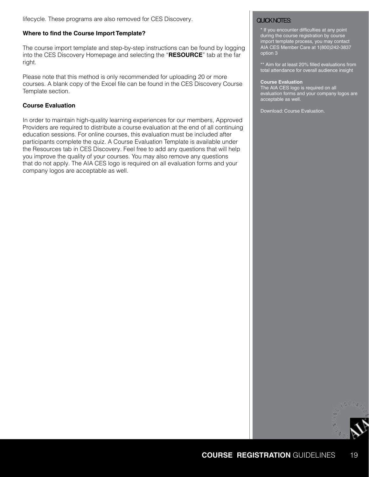lifecycle. These programs are also removed for CES Discovery.

#### **Where to find the Course Import Template?**

The course import template and step-by-step instructions can be found by logging into the CES Discovery Homepage and selecting the "**RESOURCE**" tab at the far right.

Please note that this method is only recommended for uploading 20 or more courses. A blank copy of the Excel file can be found in the CES Discovery Course Template section.

#### **Course Evaluation**

In order to maintain high-quality learning experiences for our members, Approved Providers are required to distribute a course evaluation at the end of all continuing education sessions. For online courses, this evaluation must be included after participants complete the quiz. A Course Evaluation Template is available under the Resources tab in CES Discovery. Feel free to add any questions that will help you improve the quality of your courses. You may also remove any questions that do not apply. The AIA CES logo is required on all evaluation forms and your company logos are acceptable as well.

\* If you encounter difficulties at any point during the course registration by course import template process, you may contact AIA CES Member Care at 1(800)242-3837 option 3

\*\* Aim for at least 20% filled evaluations from total attendance for overall audience insight

#### **Course Evaluation**

The AIA CES logo is required on all evaluation forms and your company logos are acceptable as well.

Download: Course Evaluation.

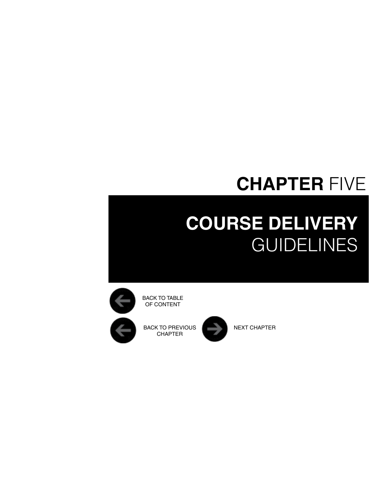## **CHAPTER** FIVE

## <span id="page-19-0"></span>**Course Delivery GUIDELINES**



OF CONTENT

BACK TO PREVIOUS NEXT CHAPTER CHAPTER

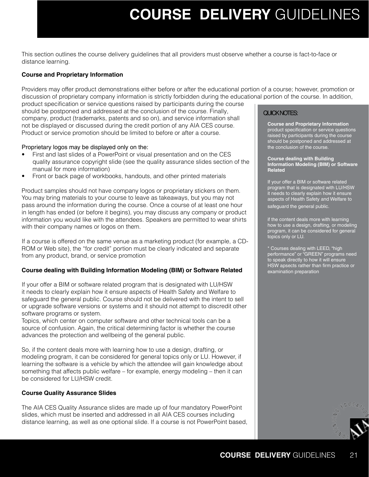### **Course Delivery** Guidelines

<span id="page-20-0"></span>This section outlines the course delivery guidelines that all providers must observe whether a course is fact-to-face or distance learning.

### **Course and Proprietary Information**

Providers may offer product demonstrations either before or after the educational portion of a course; however, promotion or discussion of proprietary company information is strictly forbidden during the educational portion of the course. In addition,

product specification or service questions raised by participants during the course should be postponed and addressed at the conclusion of the course. Finally, company, product (trademarks, patents and so on), and service information shall not be displayed or discussed during the credit portion of any AIA CES course. Product or service promotion should be limited to before or after a course.

#### Proprietary logos may be displayed only on the:

- First and last slides of a PowerPoint or visual presentation and on the CES quality assurance copyright slide (see the quality assurance slides section of the manual for more information)
- Front or back page of workbooks, handouts, and other printed materials

Product samples should not have company logos or proprietary stickers on them. You may bring materials to your course to leave as takeaways, but you may not pass around the information during the course. Once a course of at least one hour in length has ended (or before it begins), you may discuss any company or product information you would like with the attendees. Speakers are permitted to wear shirts with their company names or logos on them.

If a course is offered on the same venue as a marketing product (for example, a CD-ROM or Web site), the "for credit" portion must be clearly indicated and separate from any product, brand, or service promotion

#### **Course dealing with Building Information Modeling (BIM) or Software Related**

If your offer a BIM or software related program that is designated with LU/HSW it needs to clearly explain how it ensure aspects of Health Safety and Welfare to safeguard the general public. Course should not be delivered with the intent to sell or upgrade software versions or systems and it should not attempt to discredit other software programs or system.

Topics, which center on computer software and other technical tools can be a source of confusion. Again, the critical determining factor is whether the course advances the protection and wellbeing of the general public.

So, if the content deals more with learning how to use a design, drafting, or modeling program, it can be considered for general topics only or LU. However, if learning the software is a vehicle by which the attendee will gain knowledge about something that affects public welfare – for example, energy modeling – then it can be considered for LU/HSW credit.

#### **Course Quality Assurance Slides**

The AIA CES Quality Assurance slides are made up of four mandatory PowerPoint slides, which must be inserted and addressed in all AIA CES courses including distance learning, as well as one optional slide. If a course is not PowerPoint based,

#### QUICK NOTES:

**Course and Proprietary Information** product specification or service questions raised by participants during the course should be postponed and addressed at the conclusion of the course.

#### **Course dealing with Building Information Modeling (BIM) or Software Related**

If your offer a BIM or software related program that is designated with LU/HSW it needs to clearly explain how it ensure aspects of Health Safety and Welfare to safeguard the general public.

if the content deals more with learning how to use a design, drafting, or modeling program, it can be considered for general topics only or LU.

\* Courses dealing with LEED, "high performance" or "GREEN" programs need to speak directly to how it will ensure HSW apsects rather than firm practice or examination preparation

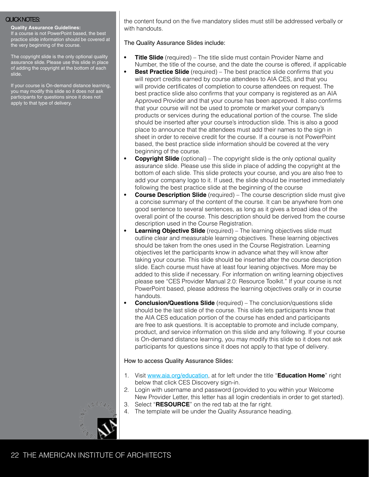#### **Quality Assurance Guidelines:**

If a course is not PowerPoint based, the best practice slide information should be covered at the very beginning of the course.

The copyright slide is the only optional quality assurance slide. Please use this slide in place of adding the copyright at the bottom of each slide.

If your course is On-demand distance learning, you may modify this slide so it does not ask participants for questions since it does not apply to that type of delivery.

QUICK NOTES: the content found on the five mandatory slides must still be addressed verbally or with handouts.

The Quality Assurance Slides include:

- **• Title Slide** (required) The title slide must contain Provider Name and Number, the title of the course, and the date the course is offered, if applicable
- **• Best Practice Slide** (required) The best practice slide confirms that you will report credits earned by course attendees to AIA CES, and that you will provide certificates of completion to course attendees on request. The best practice slide also confirms that your company is registered as an AIA Approved Provider and that your course has been approved. It also confirms that your course will not be used to promote or market your company's products or services during the educational portion of the course. The slide should be inserted after your course's introduction slide. This is also a good place to announce that the attendees must add their names to the sign in sheet in order to receive credit for the course. If a course is not PowerPoint based, the best practice slide information should be covered at the very beginning of the course.
- **• Copyright Slide** (optional) The copyright slide is the only optional quality assurance slide. Please use this slide in place of adding the copyright at the bottom of each slide. This slide protects your course, and you are also free to add your company logo to it. If used, the slide should be inserted immediately following the best practice slide at the beginning of the course
- **• Course Description Slide** (required) The course description slide must give a concise summary of the content of the course. It can be anywhere from one good sentence to several sentences, as long as it gives a broad idea of the overall point of the course. This description should be derived from the course description used in the Course Registration.
- **• Learning Objective Slide** (required) The learning objectives slide must outline clear and measurable learning objectives. These learning objectives should be taken from the ones used in the Course Registration. Learning objectives let the participants know in advance what they will know after taking your course. This slide should be inserted after the course description slide. Each course must have at least four leaning objectives. More may be added to this slide if necessary. For information on writing learning objectives please see "CES Provider Manual 2.0: Resource Toolkit." If your course is not PowerPoint based, please address the learning objectives orally or in course handouts.
- **• Conclusion/Questions Slide** (required) The conclusion/questions slide should be the last slide of the course. This slide lets participants know that the AIA CES education portion of the course has ended and participants are free to ask questions. It is acceptable to promote and include company, product, and service information on this slide and any following. If your course is On-demand distance learning, you may modify this slide so it does not ask participants for questions since it does not apply to that type of delivery.

#### How to access Quality Assurance Slides:

- 1. Visit [www.aia.org/education](http://www.aia.org/education), at for left under the title "**Education Home**" right below that click CES Discovery sign-in.
- 2. Login with username and password (provided to you within your Welcome New Provider Letter, this letter has all login credentials in order to get started).
- 3. Select "**RESOURCE**" on the red tab at the far right.
- 4. The template will be under the Quality Assurance heading.

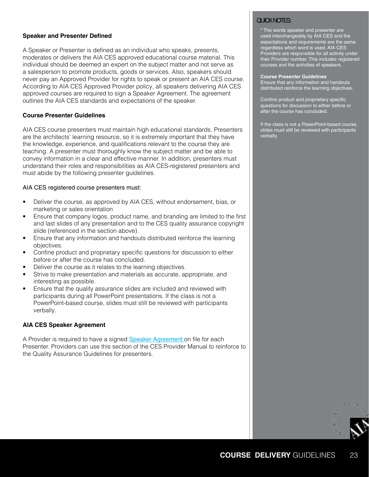#### **Speaker and Presenter Defined**

A Speaker or Presenter is defined as an individual who speaks, presents, moderates or delivers the AIA CES approved educational course material. This individual should be deemed an expert on the subject matter and not serve as a salesperson to promote products, goods or services. Also, speakers should never pay an Approved Provider for rights to speak or present an AIA CES course. According to AIA CES Approved Provider policy, all speakers delivering AIA CES approved courses are required to sign a Speaker Agreement. The agreement outlines the AIA CES standards and expectations of the speaker.

#### **Course Presenter Guidelines**

AIA CES course presenters must maintain high educational standards. Presenters are the architects' learning resource, so it is extremely important that they have the knowledge, experience, and qualifications relevant to the course they are teaching. A presenter must thoroughly know the subject matter and be able to convey information in a clear and effective manner. In addition, presenters must understand their roles and responsibilities as AIA CES-registered presenters and must abide by the following presenter guidelines.

#### AIA CES registered course presenters must:

- Deliver the course, as approved by AIA CES, without endorsement, bias, or marketing or sales orientation
- Ensure that company logos, product name, and branding are limited to the first and last slides of any presentation and to the CES quality assurance copyright slide (referenced in the section above).
- Ensure that any information and handouts distributed reinforce the learning objectives.
- Confine product and proprietary specific questions for discussion to either before or after the course has concluded.
- Deliver the course as it relates to the learning objectives.
- Strive to make presentation and materials as accurate, appropriate, and interesting as possible.
- Ensure that the quality assurance slides are included and reviewed with participants during all PowerPoint presentations. If the class is not a PowerPoint-based course, slides must still be reviewed with participants verbally.

#### **AIA CES Speaker Agreement**

A Provider is required to have a signed [Speaker Agreement](http://www.aia.org/aiaucmp/groups/public/documents/pdf/aiab095001.pdf) on file for each Presenter. Providers can use this section of the CES Provider Manual to reinforce to the Quality Assurance Guidelines for presenters.

#### QUICK NOTES:

\* The words speaker and presenter are used interchangeably by AIA CES and the expectations and requirements are the same regardless which word is used. AIA CES Providers are responsible for all activity under their Provider number. This includes registered courses and the activities of speakers.

#### **Course Presenter Guidelines**

Ensure that any information and handouts distributed reinforce the learning objectives.

Confine product and proprietary specific questions for discussion to either before or after the course has concluded.

If the class is not a PowerPoint-based course, slides must still be reviewed with participants verbally.

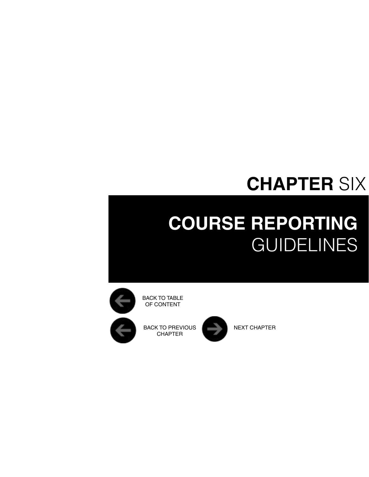## **CHAPTER** SIX

# <span id="page-23-0"></span>**Course REPORTING GUIDELINES**



OF CONTENT

BACK TO PREVIOUS NEXT CHAPTER CHAPTER

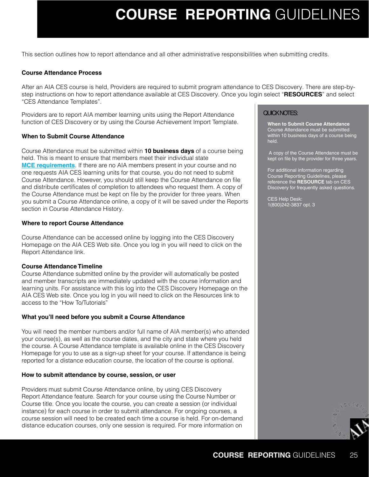### **Course REPORTING** Guidelines

This section outlines how to report attendance and all other administrative responsibilities when submitting credits.

#### **Course Attendance Process**

After an AIA CES course is held, Providers are required to submit program attendance to CES Discovery. There are step-bystep instructions on how to report attendance available at CES Discovery. Once you login select "**RESOURCES**" and select "CES Attendance Templates".

Providers are to report AIA member learning units using the Report Attendance function of CES Discovery or by using the Course Achievement Import Template.

#### **When to Submit Course Attendance**

Course Attendance must be submitted within **10 business days** of a course being held. This is meant to ensure that members meet their individual state **[MCE requirements](http://www.aia.org/education/ces/mcerequirements/)**. If there are no AIA members present in your course and no one requests AIA CES learning units for that course, you do not need to submit Course Attendance. However, you should still keep the Course Attendance on file and distribute certificates of completion to attendees who request them. A copy of the Course Attendance must be kept on file by the provider for three years. When you submit a Course Attendance online, a copy of it will be saved under the Reports section in Course Attendance History.

#### **Where to report Course Attendance**

Course Attendance can be accessed online by logging into the CES Discovery Homepage on the AIA CES Web site. Once you log in you will need to click on the Report Attendance link.

#### **Course Attendance Timeline**

Course Attendance submitted online by the provider will automatically be posted and member transcripts are immediately updated with the course information and learning units. For assistance with this log into the CES Discovery Homepage on the AIA CES Web site. Once you log in you will need to click on the Resources link to access to the "How To/Tutorials"

#### **What you'll need before you submit a Course Attendance**

You will need the member numbers and/or full name of AIA member(s) who attended your course(s), as well as the course dates, and the city and state where you held the course. A Course Attendance template is available online in the CES Discovery Homepage for you to use as a sign-up sheet for your course. If attendance is being reported for a distance education course, the location of the course is optional.

#### **How to submit attendance by course, session, or user**

Providers must submit Course Attendance online, by using CES Discovery Report Attendance feature. Search for your course using the Course Number or Course title. Once you locate the course, you can create a session (or individual instance) for each course in order to submit attendance. For ongoing courses, a course session will need to be created each time a course is held. For on-demand distance education courses, only one session is required. For more information on

#### QUICK NOTES:

**When to Submit Course Attendance** Course Attendance must be submitted within 10 business days of a course being held.

 A copy of the Course Attendance must be kept on file by the provider for three years.

For additional information regarding Course Reporting Guidelines, please reference the **RESOURCE** tab on CES Discovery for frequently asked questions.

CES Help Desk: 1(800)242-3837 opt. 3

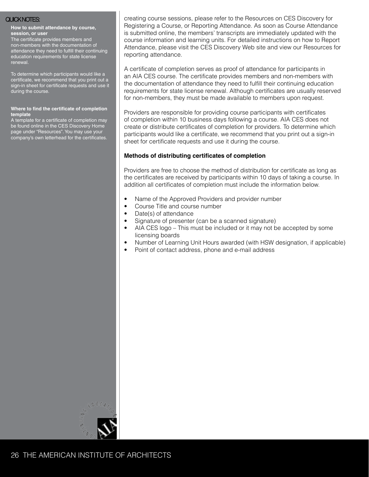#### **How to submit attendance by course, session, or user**

The certificate provides members and non-members with the documentation of attendance they need to fulfill their continuing education requirements for state license renewal.

To determine which participants would like a certificate, we recommend that you print out a sign-in sheet for certificate requests and use it during the course.

#### **Where to find the certificate of completion template**

A template for a certificate of completion may be found online in the CES Discovery Home page under "Resources". You may use your company's own letterhead for the certificates.

QUICK NOTES: creating course sessions, please refer to the Resources on CES Discovery for Registering a Course, or Reporting Attendance. As soon as Course Attendance is submitted online, the members' transcripts are immediately updated with the course information and learning units. For detailed instructions on how to Report Attendance, please visit the CES Discovery Web site and view our Resources for reporting attendance.

> A certificate of completion serves as proof of attendance for participants in an AIA CES course. The certificate provides members and non-members with the documentation of attendance they need to fulfill their continuing education requirements for state license renewal. Although certificates are usually reserved for non-members, they must be made available to members upon request.

Providers are responsible for providing course participants with certificates of completion within 10 business days following a course. AIA CES does not create or distribute certificates of completion for providers. To determine which participants would like a certificate, we recommend that you print out a sign-in sheet for certificate requests and use it during the course.

#### **Methods of distributing certificates of completion**

Providers are free to choose the method of distribution for certificate as long as the certificates are received by participants within 10 days of taking a course. In addition all certificates of completion must include the information below.

- Name of the Approved Providers and provider number
- Course Title and course number
- Date(s) of attendance
- Signature of presenter (can be a scanned signature)
- AIA CES logo This must be included or it may not be accepted by some licensing boards
- Number of Learning Unit Hours awarded (with HSW designation, if applicable)
- Point of contact address, phone and e-mail address

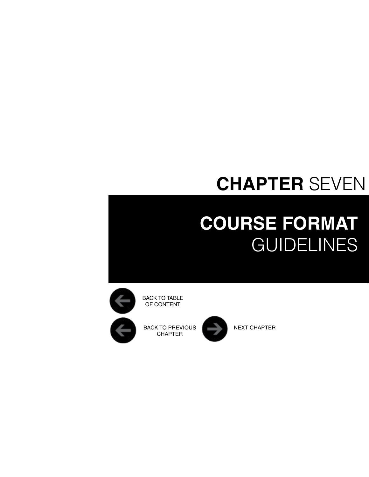## <span id="page-26-0"></span>**CHAPTER** SEVEN

# **Course FORMAT GUIDELINES**



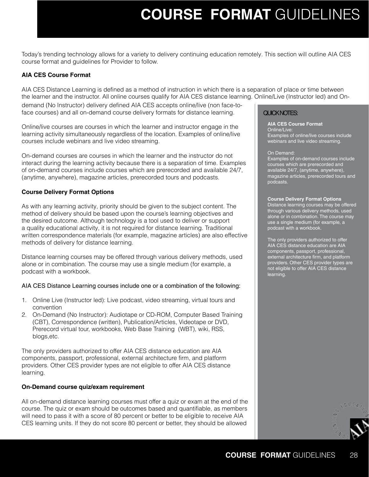### **Course FORMAT** Guidelines

Today's trending technology allows for a variety to delivery continuing education remotely. This section will outline AIA CES course format and guidelines for Provider to follow.

#### **AIA CES Course Format**

AIA CES Distance Learning is defined as a method of instruction in which there is a separation of place or time between the learner and the instructor. All online courses qualify for AIA CES distance learning. Online/Live (Instructor led) and On-

demand (No Instructor) delivery defined AIA CES accepts online/live (non face-toface courses) and all on-demand course delivery formats for distance learning.

Online/live courses are courses in which the learner and instructor engage in the learning activity simultaneously regardless of the location. Examples of online/live courses include webinars and live video streaming.

On-demand courses are courses in which the learner and the instructor do not interact during the learning activity because there is a separation of time. Examples of on-demand courses include courses which are prerecorded and available 24/7, (anytime, anywhere), magazine articles, prerecorded tours and podcasts.

#### **Course Delivery Format Options**

As with any learning activity, priority should be given to the subject content. The method of delivery should be based upon the course's learning objectives and the desired outcome. Although technology is a tool used to deliver or support a quality educational activity, it is not required for distance learning. Traditional written correspondence materials (for example, magazine articles) are also effective methods of delivery for distance learning.

Distance learning courses may be offered through various delivery methods, used alone or in combination. The course may use a single medium (for example, a podcast with a workbook.

#### AIA CES Distance Learning courses include one or a combination of the following:

- 1. Online Live (Instructor led): Live podcast, video streaming, virtual tours and convention
- 2. On-Demand (No Instructor): Audiotape or CD-ROM, Computer Based Training (CBT), Correspondence (written), Publication/Articles, Videotape or DVD, Prerecord virtual tour, workbooks, Web Base Training (WBT), wiki, RSS, blogs,etc.

The only providers authorized to offer AIA CES distance education are AIA components, passport, professional, external architecture firm, and platform providers. Other CES provider types are not eligible to offer AIA CES distance learning.

#### **On-Demand course quiz/exam requirement**

All on-demand distance learning courses must offer a quiz or exam at the end of the course. The quiz or exam should be outcomes based and quantifiable, as members will need to pass it with a score of 80 percent or better to be eligible to receive AIA CES learning units. If they do not score 80 percent or better, they should be allowed

### QUICK NOTES:

**AIA CES Course Format** Online/Live: Examples of online/live courses include webinars and live video streaming.

#### On Demand:

Examples of on-demand courses include s which are prerecorded and available 24/7, (anytime, anywhere), magazine articles, prerecorded tours and podcasts.

#### **Course Delivery Format Options**

Distance learning courses may be offered through various delivery methods, used alone or in combination. The course may use a single medium (for example, a podcast with a workbook.

The only providers authorized to offer AIA CES distance education are AIA components, passport, professional, external architecture firm, and platform providers. Other CES provider types are not eligible to offer AIA CES distance learning.

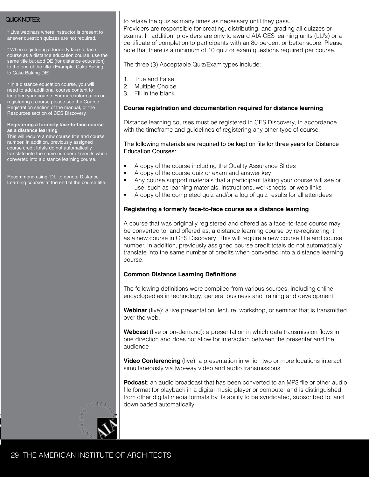\* Live webinars where instructor is present to answer question quizzes are not required.

\* When registering a formerly face-to-face course as a distance education course, use the same title but add DE (for distance education) to the end of the title. (Example: Cake Baking to Cake Baking-DE)

\* In a distance education course, you will need to add additional course content to lengthen your course. For more information on registering a course please see the Course Registration section of the manual, or the Resources section of CES Discovery.

#### **Registering a formerly face-to-face course as a distance learning**

This will require a new course title and course number. In addition, previously assigned course credit totals do not automatically translate into the same number of credits when converted into a distance learning course.

Recommend using "DL" to denote Distance Learning courses at the end of the course title.

 $\text{QUICKNOTES:}$  to retake the quiz as many times as necessary until they pass. Providers are responsible for creating, distributing, and grading all quizzes or exams. In addition, providers are only to award AIA CES learning units (LU's) or a certificate of completion to participants with an 80 percent or better score. Please note that there is a minimum of 10 quiz or exam questions required per course.

The three (3) Acceptable Quiz/Exam types include:

- 1. True and False
- 2. Multiple Choice
- 3. Fill in the blank

#### **Course registration and documentation required for distance learning**

Distance learning courses must be registered in CES Discovery, in accordance with the timeframe and guidelines of registering any other type of course.

#### The following materials are required to be kept on file for three years for Distance Education Courses:

- A copy of the course including the Quality Assurance Slides
- A copy of the course quiz or exam and answer key
- Any course support materials that a participant taking your course will see or use, such as learning materials, instructions, worksheets, or web links
- A copy of the completed quiz and/or a log of quiz results for all attendees

#### **Registering a formerly face-to-face course as a distance learning**

A course that was originally registered and offered as a face–to-face course may be converted to, and offered as, a distance learning course by re-registering it as a new course in CES Discovery. This will require a new course title and course number. In addition, previously assigned course credit totals do not automatically translate into the same number of credits when converted into a distance learning course.

#### **Common Distance Learning Definitions**

The following definitions were compiled from various sources, including online encyclopedias in technology, general business and training and development.

**Webinar** (live): a live presentation, lecture, workshop, or seminar that is transmitted over the web.

**Webcast** (live or on-demand): a presentation in which data transmission flows in one direction and does not allow for interaction between the presenter and the audience

**Video Conferencing** (live): a presentation in which two or more locations interact simultaneously via two-way video and audio transmissions

**Podcast**: an audio broadcast that has been converted to an MP3 file or other audio file format for playback in a digital music player or computer and is distinguished from other digital media formats by its ability to be syndicated, subscribed to, and downloaded automatically.

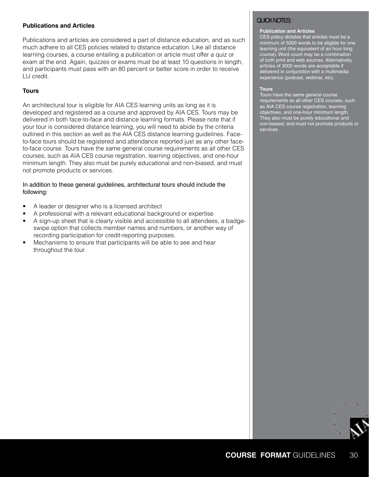#### **Publications and Articles**

Publications and articles are considered a part of distance education, and as such much adhere to all CES policies related to distance education. Like all distance learning courses, a course entailing a publication or article must offer a quiz or exam at the end. Again, quizzes or exams must be at least 10 questions in length, and participants must pass with an 80 percent or better score in order to receive LU credit.

#### **Tours**

An architectural tour is eligible for AIA CES learning units as long as it is developed and registered as a course and approved by AIA CES. Tours may be delivered in both face-to-face and distance learning formats. Please note that if your tour is considered distance learning, you will need to abide by the criteria outlined in this section as well as the AIA CES distance learning guidelines. Faceto-face tours should be registered and attendance reported just as any other faceto-face course. Tours have the same general course requirements as all other CES courses, such as AIA CES course registration, learning objectives, and one-hour minimum length. They also must be purely educational and non-biased, and must not promote products or services.

#### In addition to these general guidelines, architectural tours should include the following:

- A leader or designer who is a licensed architect
- A professional with a relevant educational background or expertise
- A sign-up sheet that is clearly visible and accessible to all attendees, a badgeswipe option that collects member names and numbers, or another way of recording participation for credit-reporting purposes.
- Mechanisms to ensure that participants will be able to see and hear throughout the tour

#### QUICK NOTES:

#### **Publication and Articles**

CES policy dictates that articles must be a minimum of 5000 words to be eligible for one learning unit (the equivalent of an hour long course). Word count may be a combination of both print and web sources. Alternatively, articles of 3000 words are acceptable if delivered in conjunction with a multimedia experience (podcast, webinar, etc).

#### **Tours**

Tours have the same general course requirements as all other CES courses, such as AIA CES course registration, learning objectives, and one-hour minimum length. They also must be purely educational and non-biased, and must not promote products or services.

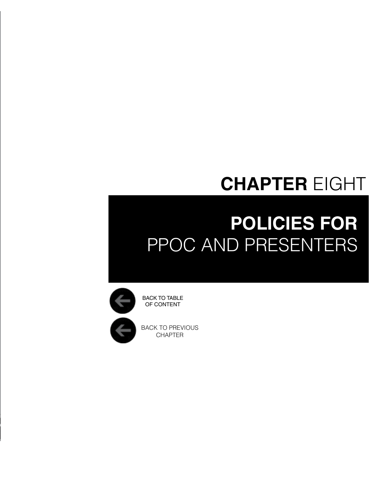## **CHAPTER** EIGHT

# <span id="page-30-0"></span>**Policies for** PPOC and Presenters



BACK TO PREVIOUS CHAPTER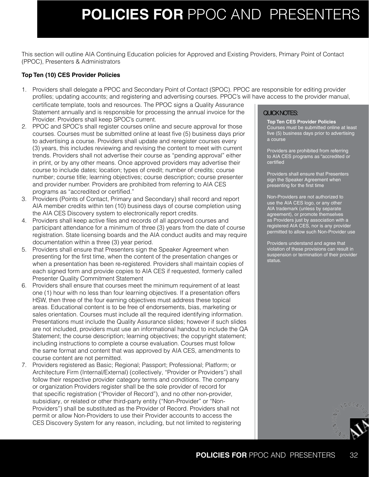### **policies for** PPOC AND PRESENTERS

This section will outline AIA Continuing Education policies for Approved and Existing Providers, Primary Point of Contact (PPOC), Presenters & Administrators

#### **Top Ten (10) CES Provider Policies**

1. Providers shall delegate a PPOC and Secondary Point of Contact (SPOC). PPOC are responsible for editing provider profiles; updating accounts; and registering and advertising courses. PPOC's will have access to the provider manual,

certificate template, tools and resources. The PPOC signs a Quality Assurance Statement annually and is responsible for processing the annual invoice for the Provider. Providers shall keep SPOC's current.

- 2. PPOC and SPOC's shall register courses online and secure approval for those courses. Courses must be submitted online at least five (5) business days prior to advertising a course. Providers shall update and reregister courses every (3) years, this includes reviewing and revising the content to meet with current trends. Providers shall not advertise their course as "pending approval" either in print, or by any other means. Once approved providers may advertise their course to include dates; location; types of credit; number of credits; course number; course title; learning objectives; course description; course presenter and provider number. Providers are prohibited from referring to AIA CES programs as "accredited or certified."
- 3. Providers (Points of Contact, Primary and Secondary) shall record and report AIA member credits within ten (10) business days of course completion using the AIA CES Discovery system to electronically report credits.
- 4. Providers shall keep active files and records of all approved courses and participant attendance for a minimum of three (3) years from the date of course registration. State licensing boards and the AIA conduct audits and may require documentation within a three (3) year period.
- 5. Providers shall ensure that Presenters sign the Speaker Agreement when presenting for the first time, when the content of the presentation changes or when a presentation has been re-registered. Providers shall maintain copies of each signed form and provide copies to AIA CES if requested, formerly called Presenter Quality Commitment Statement
- 6. Providers shall ensure that courses meet the minimum requirement of at least one (1) hour with no less than four learning objectives. If a presentation offers HSW, then three of the four earning objectives must address these topical areas. Educational content is to be free of endorsements, bias, marketing or sales orientation. Courses must include all the required identifying information. Presentations must include the Quality Assurance slides; however if such slides are not included, providers must use an informational handout to include the QA Statement; the course description; learning objectives; the copyright statement; including instructions to complete a course evaluation. Courses must follow the same format and content that was approved by AIA CES, amendments to course content are not permitted.
- 7. Providers registered as Basic; Regional; Passport; Professional; Platform; or Architecture Firm (Internal/External) (collectively, "Provider or Providers") shall follow their respective provider category terms and conditions. The company or organization Providers register shall be the sole provider of record for that specific registration ("Provider of Record"), and no other non-provider, subsidiary, or related or other third-party entity ("Non-Provider" or "Non-Providers") shall be substituted as the Provider of Record. Providers shall not permit or allow Non-Providers to use their Provider accounts to access the CES Discovery System for any reason, including, but not limited to registering

#### QUICK NOTES:

**Top Ten CES Provider Policies** Courses must be submitted online at least five (5) business days prior to advertising a course

Providers are prohibited from referring to AIA CES programs as "accredited or certified

Providers shall ensure that Presenters sign the Speaker Agreement when presenting for the first time

Non-Providers are not authorized to use the AIA CES logo, or any other AIA trademark (unless by separate agreement), or promote themselves as Providers just by association with a registered AIA CES, nor is any provider permitted to allow such Non-Provider use

Providers understand and agree that violation of these provisions can result in suspension or termination of their provider status.

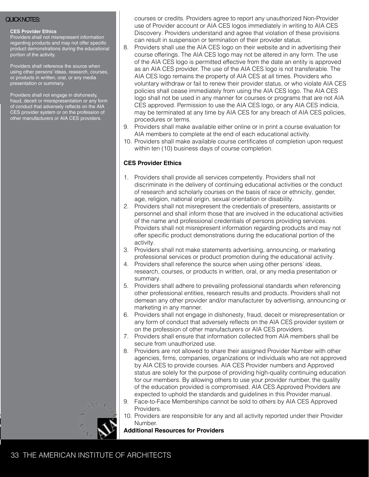#### **CES Provider Ethics**

Providers shall not misrepresent information regarding products and may not offer specific product demonstrations during the educational portion of the activity.

Providers shall reference the source when using other persons' ideas, research, courses, or products in written, oral, or any media presentation or summary.

Providers shall not engage in dishonesty, fraud, deceit or misrepresentation or any form of conduct that adversely reflects on the AIA CES provider system or on the profession of other manufacturers or AIA CES providers.

QUICK NOTES: courses or credits. Providers agree to report any unauthorized Non-Provider use of Provider account or AIA CES logos immediately in writing to AIA CES Discovery. Providers understand and agree that violation of these provisions can result in suspension or termination of their provider status.

- 8. Providers shall use the AIA CES logo on their website and in advertising their course offerings. The AIA CES logo may not be altered in any form. The use of the AIA CES logo is permitted effective from the date an entity is approved as an AIA CES provider. The use of the AIA CES logo is not transferable. The AIA CES logo remains the property of AIA CES at all times. Providers who voluntary withdraw or fail to renew their provider status, or who violate AIA CES policies shall cease immediately from using the AIA CES logo. The AIA CES logo shall not be used in any manner for courses or programs that are not AIA CES approved. Permission to use the AIA CES logo, or any AIA CES indicia, may be terminated at any time by AIA CES for any breach of AIA CES policies, procedures or terms.
- 9. Providers shall make available either online or in print a course evaluation for AIA members to complete at the end of each educational activity.
- 10. Providers shall make available course certificates of completion upon request within ten (10) business days of course completion.

#### **CES Provider Ethics**

- 1. Providers shall provide all services competently. Providers shall not discriminate in the delivery of continuing educational activities or the conduct of research and scholarly courses on the basis of race or ethnicity, gender, age, religion, national origin, sexual orientation or disability.
- 2. Providers shall not misrepresent the credentials of presenters, assistants or personnel and shall inform those that are involved in the educational activities of the name and professional credentials of persons providing services. Providers shall not misrepresent information regarding products and may not offer specific product demonstrations during the educational portion of the activity.
- 3. Providers shall not make statements advertising, announcing, or marketing professional services or product promotion during the educational activity.
- 4. Providers shall reference the source when using other persons' ideas, research, courses, or products in written, oral, or any media presentation or summary.
- 5. Providers shall adhere to prevailing professional standards when referencing other professional entities, research results and products. Providers shall not demean any other provider and/or manufacturer by advertising, announcing or marketing in any manner.
- 6. Providers shall not engage in dishonesty, fraud, deceit or misrepresentation or any form of conduct that adversely reflects on the AIA CES provider system or on the profession of other manufacturers or AIA CES providers.
- 7. Providers shall ensure that information collected from AIA members shall be secure from unauthorized use.
- 8. Providers are not allowed to share their assigned Provider Number with other agencies, firms, companies, organizations or individuals who are not approved by AIA CES to provide courses. AIA CES Provider numbers and Approved status are solely for the purpose of providing high-quality continuing education for our members. By allowing others to use your provider number, the quality of the education provided is compromised. AIA CES Approved Providers are expected to uphold the standards and guidelines in this Provider manual.
- 9. Face-to-Face Memberships cannot be sold to others by AIA CES Approved Providers.
- 10. Providers are responsible for any and all activity reported under their Provider Number.

**Additional Resources for Providers**